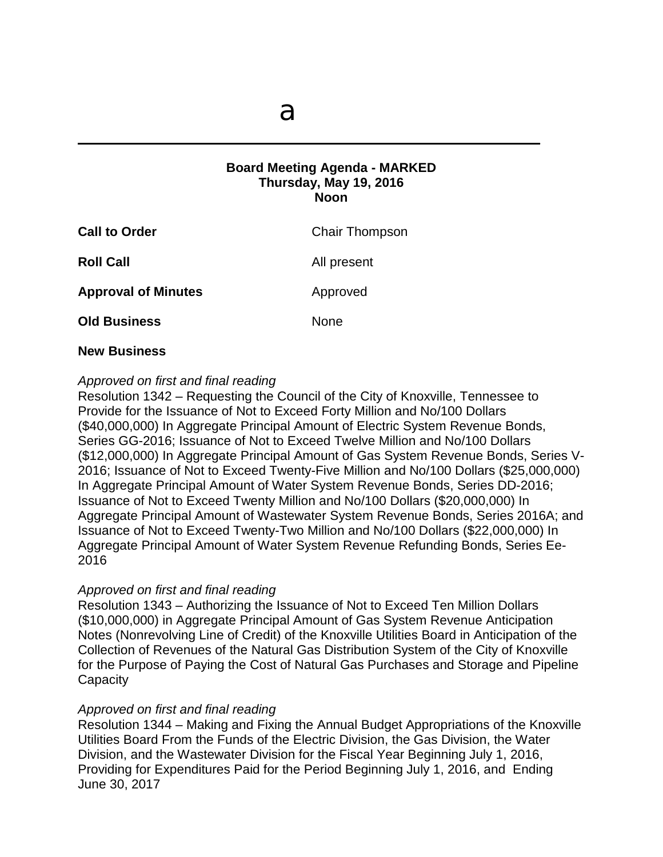$\mathcal{L} = \{ \mathcal{L} \mid \mathcal{L} \in \mathcal{L} \}$ 

# **Board Meeting Agenda - MARKED Thursday, May 19, 2016 Noon**

| <b>Call to Order</b>       | <b>Chair Thompson</b> |
|----------------------------|-----------------------|
| <b>Roll Call</b>           | All present           |
| <b>Approval of Minutes</b> | Approved              |
| <b>Old Business</b>        | None                  |

### **New Business**

### *Approved on first and final reading*

Resolution 1342 – Requesting the Council of the City of Knoxville, Tennessee to Provide for the Issuance of Not to Exceed Forty Million and No/100 Dollars (\$40,000,000) In Aggregate Principal Amount of Electric System Revenue Bonds, Series GG-2016; Issuance of Not to Exceed Twelve Million and No/100 Dollars (\$12,000,000) In Aggregate Principal Amount of Gas System Revenue Bonds, Series V-2016; Issuance of Not to Exceed Twenty-Five Million and No/100 Dollars (\$25,000,000) In Aggregate Principal Amount of Water System Revenue Bonds, Series DD-2016; Issuance of Not to Exceed Twenty Million and No/100 Dollars (\$20,000,000) In Aggregate Principal Amount of Wastewater System Revenue Bonds, Series 2016A; and Issuance of Not to Exceed Twenty-Two Million and No/100 Dollars (\$22,000,000) In Aggregate Principal Amount of Water System Revenue Refunding Bonds, Series Ee-2016

# *Approved on first and final reading*

Resolution 1343 – Authorizing the Issuance of Not to Exceed Ten Million Dollars (\$10,000,000) in Aggregate Principal Amount of Gas System Revenue Anticipation Notes (Nonrevolving Line of Credit) of the Knoxville Utilities Board in Anticipation of the Collection of Revenues of the Natural Gas Distribution System of the City of Knoxville for the Purpose of Paying the Cost of Natural Gas Purchases and Storage and Pipeline **Capacity** 

#### *Approved on first and final reading*

Resolution 1344 – Making and Fixing the Annual Budget Appropriations of the Knoxville Utilities Board From the Funds of the Electric Division, the Gas Division, the Water Division, and the Wastewater Division for the Fiscal Year Beginning July 1, 2016, Providing for Expenditures Paid for the Period Beginning July 1, 2016, and Ending June 30, 2017